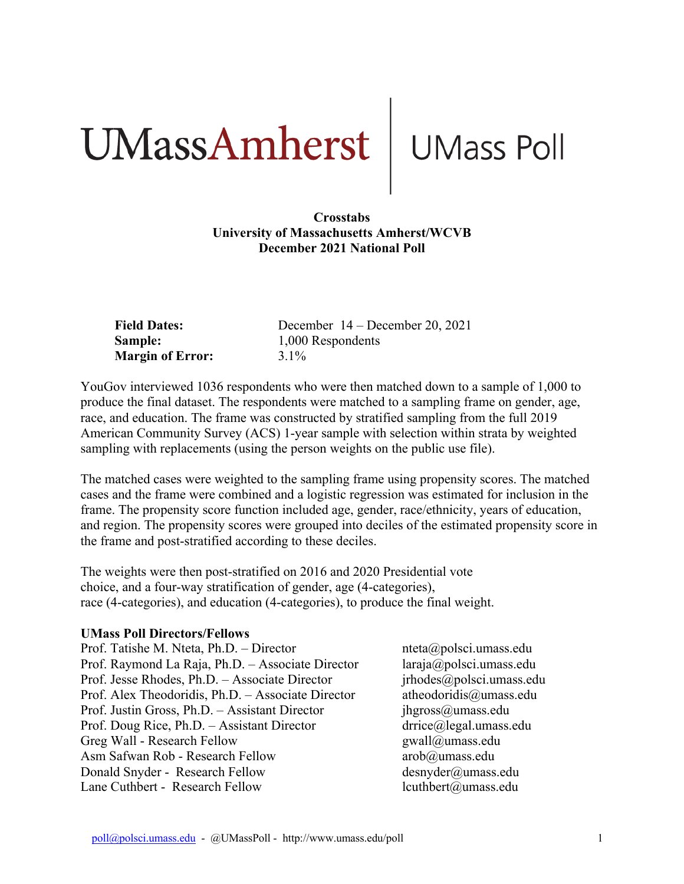# UMassAmherst UMass Poll

#### **Crosstabs University of Massachusetts Amherst/WCVB December 2021 National Poll**

| <b>Field Dates:</b>     | December $14 -$ December 20, 2021 |
|-------------------------|-----------------------------------|
| <b>Sample:</b>          | 1,000 Respondents                 |
| <b>Margin of Error:</b> | $3.1\%$                           |

YouGov interviewed 1036 respondents who were then matched down to a sample of 1,000 to produce the final dataset. The respondents were matched to a sampling frame on gender, age, race, and education. The frame was constructed by stratified sampling from the full 2019 American Community Survey (ACS) 1-year sample with selection within strata by weighted sampling with replacements (using the person weights on the public use file).

The matched cases were weighted to the sampling frame using propensity scores. The matched cases and the frame were combined and a logistic regression was estimated for inclusion in the frame. The propensity score function included age, gender, race/ethnicity, years of education, and region. The propensity scores were grouped into deciles of the estimated propensity score in the frame and post-stratified according to these deciles.

The weights were then post-stratified on 2016 and 2020 Presidential vote choice, and a four-way stratification of gender, age (4-categories), race (4-categories), and education (4-categories), to produce the final weight.

#### **UMass Poll Directors/Fellows**

| Prof. Tatishe M. Nteta, Ph.D. - Director           |
|----------------------------------------------------|
| Prof. Raymond La Raja, Ph.D. - Associate Director  |
| Prof. Jesse Rhodes, Ph.D. - Associate Director     |
| Prof. Alex Theodoridis, Ph.D. - Associate Director |
| Prof. Justin Gross, Ph.D. - Assistant Director     |
| Prof. Doug Rice, Ph.D. - Assistant Director        |
| Greg Wall - Research Fellow                        |
| Asm Safwan Rob - Research Fellow                   |
| Donald Snyder - Research Fellow                    |
| Lane Cuthbert - Research Fellow                    |

 $neta(\omega)$ polsci.umass.edu  $laraja@polsci. umass.edu$  $irhodes@polsci. umass.edu$ atheodoridis@umass.edu  $j$ hgross $@$ umass.edu  $\text{drrice}\textcircled{a}$ legal.umass.edu gwall@umass.edu arob@umass.edu  $desnyder@umass.edu$  $l$ cuthbert $@$ umass.edu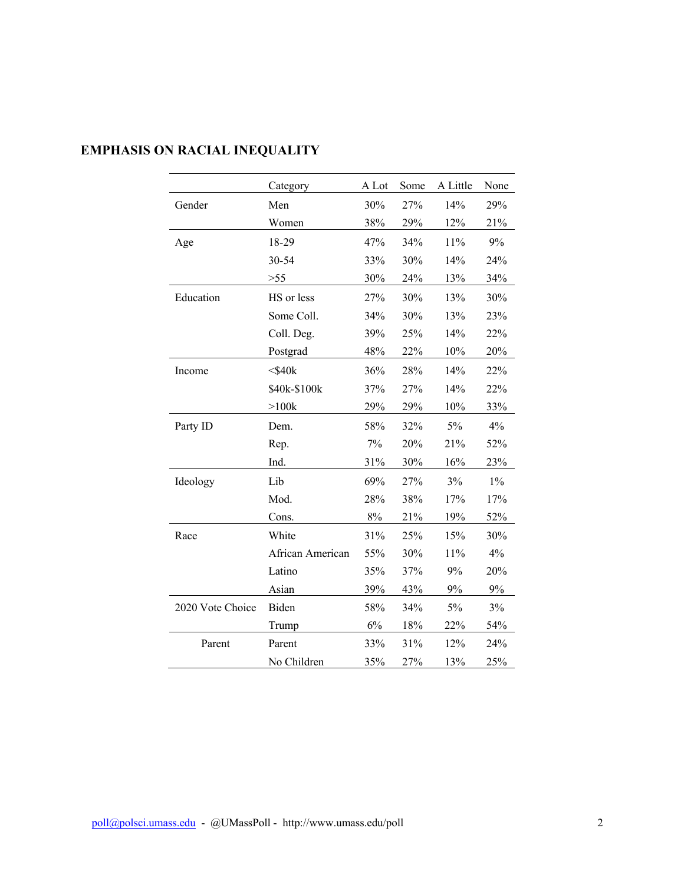|                  | Category         | A Lot | Some | A Little | None  |
|------------------|------------------|-------|------|----------|-------|
| Gender           | Men              | 30%   | 27%  | 14%      | 29%   |
|                  | Women            | 38%   | 29%  | 12%      | 21%   |
| Age              | 18-29            | 47%   | 34%  | 11%      | 9%    |
|                  | 30-54            | 33%   | 30%  | 14%      | 24%   |
|                  | $>55$            | 30%   | 24%  | 13%      | 34%   |
| Education        | HS or less       | 27%   | 30%  | 13%      | 30%   |
|                  | Some Coll.       | 34%   | 30%  | 13%      | 23%   |
|                  | Coll. Deg.       | 39%   | 25%  | 14%      | 22%   |
|                  | Postgrad         | 48%   | 22%  | 10%      | 20%   |
| Income           | $<$ \$40 $k$     | 36%   | 28%  | 14%      | 22%   |
|                  | \$40k-\$100k     | 37%   | 27%  | 14%      | 22%   |
|                  | $>100k$          | 29%   | 29%  | 10%      | 33%   |
| Party ID         | Dem.             | 58%   | 32%  | 5%       | 4%    |
|                  | Rep.             | 7%    | 20%  | 21%      | 52%   |
|                  | Ind.             | 31%   | 30%  | 16%      | 23%   |
| Ideology         | Lib              | 69%   | 27%  | 3%       | $1\%$ |
|                  | Mod.             | 28%   | 38%  | 17%      | 17%   |
|                  | Cons.            | $8\%$ | 21%  | 19%      | 52%   |
| Race             | White            | 31%   | 25%  | 15%      | 30%   |
|                  | African American | 55%   | 30%  | 11%      | 4%    |
|                  | Latino           | 35%   | 37%  | 9%       | 20%   |
|                  | Asian            | 39%   | 43%  | 9%       | $9\%$ |
| 2020 Vote Choice | Biden            | 58%   | 34%  | 5%       | 3%    |
|                  | Trump            | 6%    | 18%  | 22%      | 54%   |
| Parent           | Parent           | 33%   | 31%  | 12%      | 24%   |
|                  | No Children      | 35%   | 27%  | 13%      | 25%   |

# **EMPHASIS ON RACIAL INEQUALITY**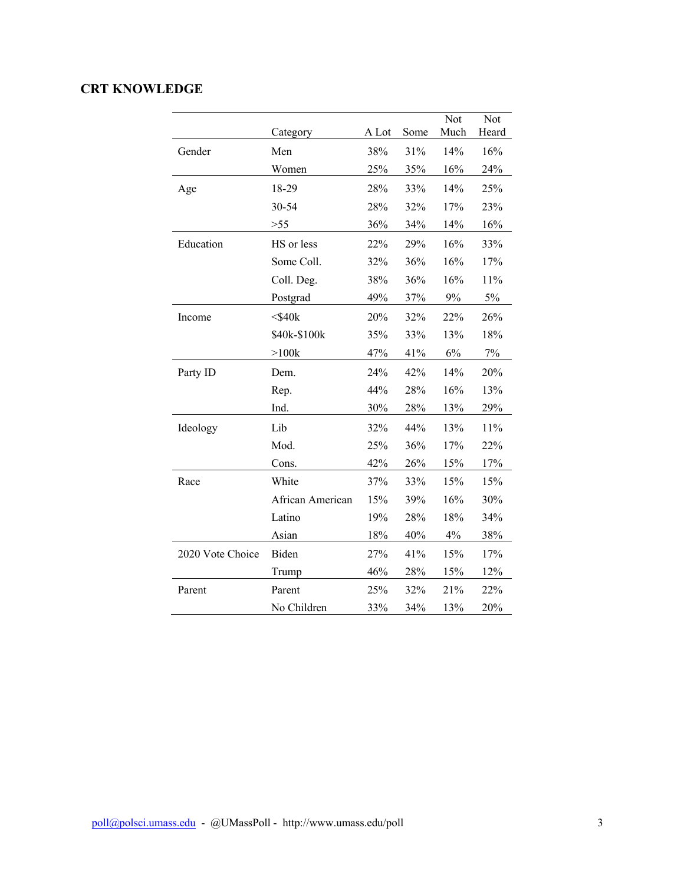## **CRT KNOWLEDGE**

|                  | Category         | A Lot | Some | Not<br>Much | Not<br>Heard |
|------------------|------------------|-------|------|-------------|--------------|
| Gender           | Men              | 38%   | 31%  | 14%         | 16%          |
|                  | Women            | 25%   | 35%  | 16%         | 24%          |
| Age              | 18-29            | 28%   | 33%  | 14%         | 25%          |
|                  | 30-54            | 28%   | 32%  | 17%         | 23%          |
|                  | >55              | 36%   | 34%  | 14%         | 16%          |
| Education        | HS or less       | 22%   | 29%  | 16%         | 33%          |
|                  | Some Coll.       | 32%   | 36%  | 16%         | 17%          |
|                  | Coll. Deg.       | 38%   | 36%  | 16%         | 11%          |
|                  | Postgrad         | 49%   | 37%  | $9\%$       | $5\%$        |
| Income           | $<$ \$40 $k$     | 20%   | 32%  | 22%         | 26%          |
|                  | \$40k-\$100k     | 35%   | 33%  | 13%         | 18%          |
|                  | >100k            | 47%   | 41%  | 6%          | 7%           |
| Party ID         | Dem.             | 24%   | 42%  | 14%         | 20%          |
|                  | Rep.             | 44%   | 28%  | 16%         | 13%          |
|                  | Ind.             | 30%   | 28%  | 13%         | 29%          |
| Ideology         | Lib              | 32%   | 44%  | 13%         | 11%          |
|                  | Mod.             | 25%   | 36%  | 17%         | 22%          |
|                  | Cons.            | 42%   | 26%  | 15%         | 17%          |
| Race             | White            | 37%   | 33%  | 15%         | 15%          |
|                  | African American | 15%   | 39%  | 16%         | 30%          |
|                  | Latino           | 19%   | 28%  | 18%         | 34%          |
|                  | Asian            | 18%   | 40%  | 4%          | 38%          |
| 2020 Vote Choice | Biden            | 27%   | 41%  | 15%         | 17%          |
|                  | Trump            | 46%   | 28%  | 15%         | 12%          |
| Parent           | Parent           | 25%   | 32%  | 21%         | 22%          |
|                  | No Children      | 33%   | 34%  | 13%         | 20%          |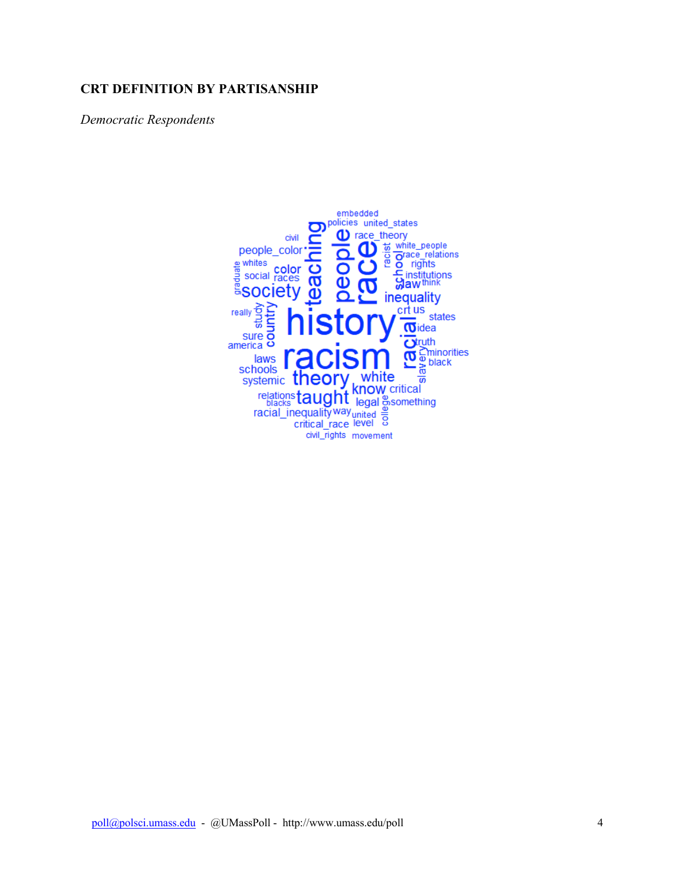#### **CRT DEFINITION BY PARTISANSHIP**

*Democratic Respondents*

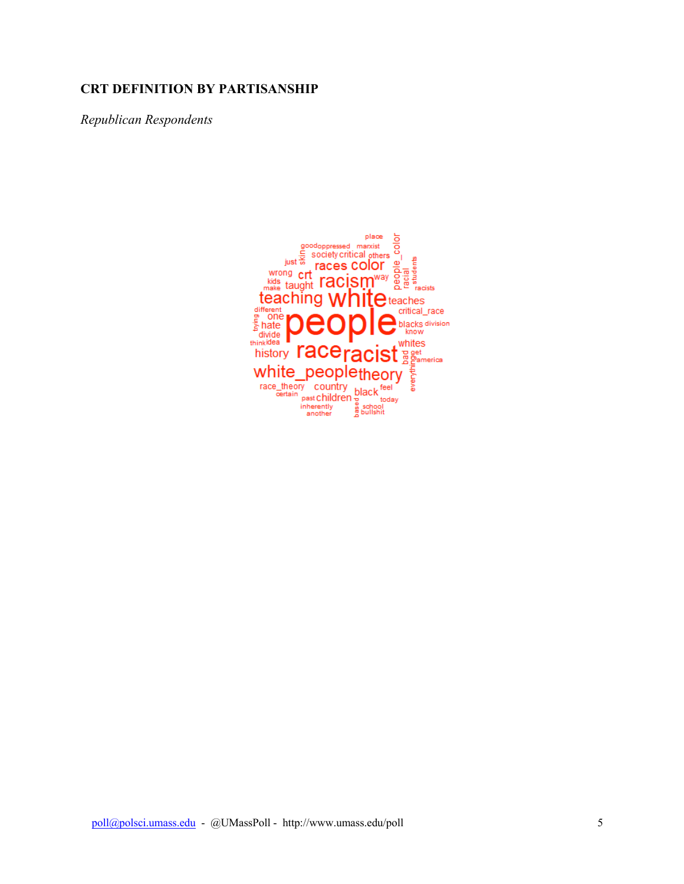#### **CRT DEFINITION BY PARTISANSHIP**

*Republican Respondents*

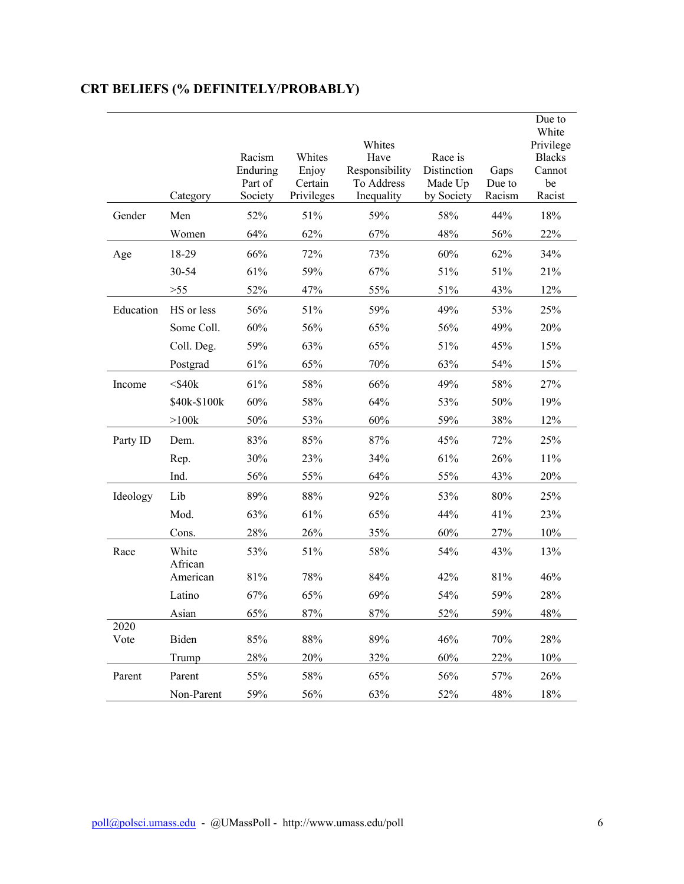|              |                  |                     |                  |                              |                        |                | Due to<br>White |
|--------------|------------------|---------------------|------------------|------------------------------|------------------------|----------------|-----------------|
|              |                  |                     |                  | Whites                       |                        |                | Privilege       |
|              |                  | Racism              | Whites           | Have                         | Race is                |                | <b>Blacks</b>   |
|              |                  | Enduring<br>Part of | Enjoy<br>Certain | Responsibility<br>To Address | Distinction<br>Made Up | Gaps<br>Due to | Cannot<br>be    |
|              | Category         | Society             | Privileges       | Inequality                   | by Society             | Racism         | Racist          |
| Gender       | Men              | 52%                 | 51%              | 59%                          | 58%                    | 44%            | 18%             |
|              | Women            | 64%                 | 62%              | 67%                          | 48%                    | 56%            | 22%             |
| Age          | 18-29            | 66%                 | 72%              | 73%                          | 60%                    | 62%            | 34%             |
|              | 30-54            | 61%                 | 59%              | 67%                          | 51%                    | 51%            | 21%             |
|              | $>55$            | 52%                 | 47%              | 55%                          | 51%                    | 43%            | 12%             |
| Education    | HS or less       | 56%                 | 51%              | 59%                          | 49%                    | 53%            | 25%             |
|              | Some Coll.       | 60%                 | 56%              | 65%                          | 56%                    | 49%            | 20%             |
|              | Coll. Deg.       | 59%                 | 63%              | 65%                          | 51%                    | 45%            | 15%             |
|              | Postgrad         | 61%                 | 65%              | 70%                          | 63%                    | 54%            | 15%             |
| Income       | $<$ \$40 $k$     | 61%                 | 58%              | 66%                          | 49%                    | 58%            | 27%             |
|              | \$40k-\$100k     | 60%                 | 58%              | 64%                          | 53%                    | 50%            | 19%             |
|              | >100k            | 50%                 | 53%              | 60%                          | 59%                    | 38%            | 12%             |
| Party ID     | Dem.             | 83%                 | 85%              | 87%                          | 45%                    | 72%            | 25%             |
|              | Rep.             | 30%                 | 23%              | 34%                          | 61%                    | 26%            | 11%             |
|              | Ind.             | 56%                 | 55%              | 64%                          | 55%                    | 43%            | 20%             |
| Ideology     | Lib              | 89%                 | 88%              | 92%                          | 53%                    | 80%            | 25%             |
|              | Mod.             | 63%                 | 61%              | 65%                          | 44%                    | 41%            | 23%             |
|              | Cons.            | 28%                 | 26%              | 35%                          | 60%                    | 27%            | 10%             |
| Race         | White<br>African | 53%                 | 51%              | 58%                          | 54%                    | 43%            | 13%             |
|              | American         | 81%                 | 78%              | 84%                          | 42%                    | 81%            | 46%             |
|              | Latino           | 67%                 | 65%              | 69%                          | 54%                    | 59%            | 28%             |
|              | Asian            | 65%                 | $87\%$           | 87%                          | 52%                    | 59%            | 48%             |
| 2020<br>Vote | Biden            | 85%                 | 88%              | 89%                          | 46%                    | 70%            | 28%             |
|              | Trump            | 28%                 | 20%              | 32%                          | 60%                    | 22%            | 10%             |
| Parent       | Parent           | 55%                 | 58%              | 65%                          | 56%                    | 57%            | 26%             |
|              | Non-Parent       | 59%                 | 56%              | 63%                          | 52%                    | 48%            | 18%             |

# **CRT BELIEFS (% DEFINITELY/PROBABLY)**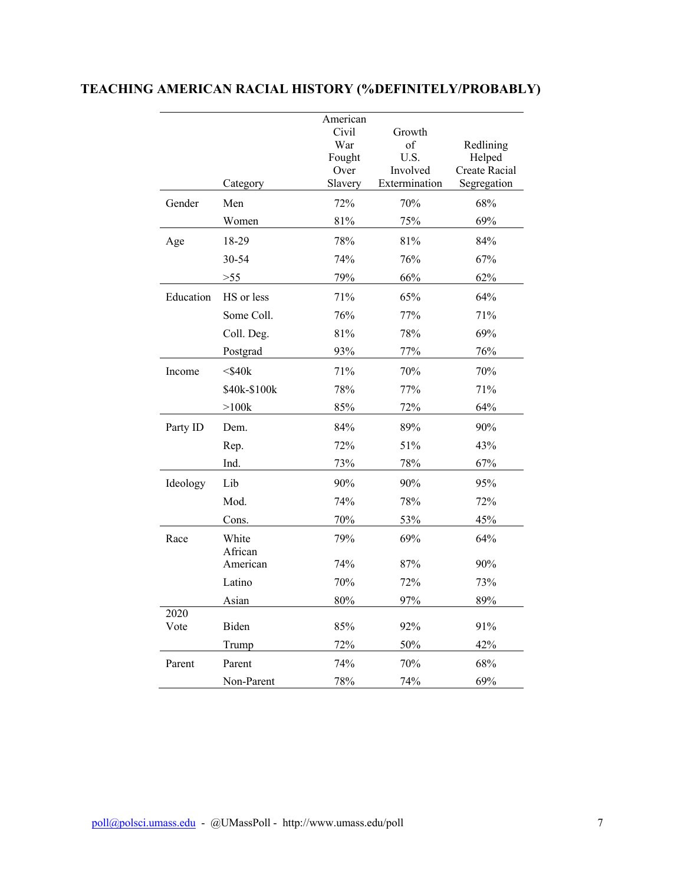|              |                  | American<br>Civil<br>War<br>Fought<br>Over | Growth<br>of<br>U.S.<br>Involved | Redlining<br>Helped<br><b>Create Racial</b> |
|--------------|------------------|--------------------------------------------|----------------------------------|---------------------------------------------|
|              | Category         | Slavery                                    | Extermination                    | Segregation                                 |
| Gender       | Men              | 72%                                        | 70%                              | 68%                                         |
|              | Women            | 81%                                        | 75%                              | 69%                                         |
| Age          | 18-29            | 78%                                        | 81%                              | 84%                                         |
|              | 30-54            | 74%                                        | 76%                              | 67%                                         |
|              | $>55$            | 79%                                        | 66%                              | 62%                                         |
| Education    | HS or less       | 71%                                        | 65%                              | 64%                                         |
|              | Some Coll.       | 76%                                        | 77%                              | 71%                                         |
|              | Coll. Deg.       | 81%                                        | 78%                              | 69%                                         |
|              | Postgrad         | 93%                                        | 77%                              | 76%                                         |
| Income       | $<$ \$40 $k$     | 71%                                        | 70%                              | 70%                                         |
|              | \$40k-\$100k     | 78%                                        | 77%                              | 71%                                         |
|              | $>100k$          | 85%                                        | 72%                              | 64%                                         |
| Party ID     | Dem.             | 84%                                        | 89%                              | 90%                                         |
|              | Rep.             | 72%                                        | 51%                              | 43%                                         |
|              | Ind.             | 73%                                        | 78%                              | 67%                                         |
| Ideology     | Lib              | 90%                                        | 90%                              | 95%                                         |
|              | Mod.             | 74%                                        | 78%                              | 72%                                         |
|              | Cons.            | 70%                                        | 53%                              | 45%                                         |
| Race         | White<br>African | 79%                                        | 69%                              | 64%                                         |
|              | American         | 74%                                        | 87%                              | 90%                                         |
|              | Latino           | 70%                                        | 72%                              | 73%                                         |
|              | Asian            | 80%                                        | 97%                              | 89%                                         |
| 2020<br>Vote | Biden            | 85%                                        | 92%                              | 91%                                         |
|              | Trump            | 72%                                        | 50%                              | 42%                                         |
| Parent       | Parent           | 74%                                        | 70%                              | 68%                                         |
|              | Non-Parent       | 78%                                        | 74%                              | 69%                                         |

# **TEACHING AMERICAN RACIAL HISTORY (%DEFINITELY/PROBABLY)**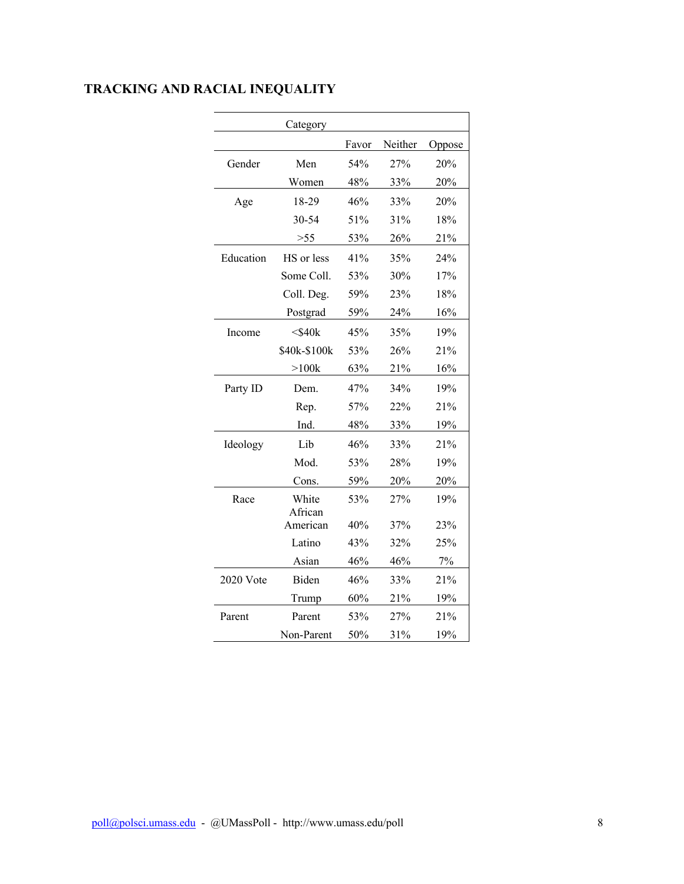|           | Category            |       |         |        |
|-----------|---------------------|-------|---------|--------|
|           |                     | Favor | Neither | Oppose |
| Gender    | Men                 | 54%   | 27%     | 20%    |
|           | Women               | 48%   | 33%     | 20%    |
| Age       | 18-29               | 46%   | 33%     | 20%    |
|           | 30-54               | 51%   | 31%     | 18%    |
|           | >55                 | 53%   | 26%     | 21%    |
| Education | HS or less          | 41%   | 35%     | 24%    |
|           | Some Coll.          | 53%   | 30%     | 17%    |
|           | Coll. Deg.          | 59%   | 23%     | 18%    |
|           | Postgrad            | 59%   | 24%     | 16%    |
| Income    | $<$ \$40 $k$        | 45%   | 35%     | 19%    |
|           | \$40k-\$100k        | 53%   | 26%     | 21%    |
|           | $>100k$             | 63%   | 21%     | 16%    |
| Party ID  | Dem.                | 47%   | 34%     | 19%    |
|           | Rep.                | 57%   | 22%     | 21%    |
|           | Ind.                | 48%   | 33%     | 19%    |
| Ideology  | Lib                 | 46%   | 33%     | 21%    |
|           | Mod.                | 53%   | 28%     | 19%    |
|           | Cons.               | 59%   | 20%     | 20%    |
| Race      | White               | 53%   | 27%     | 19%    |
|           | African<br>American | 40%   | 37%     | 23%    |
|           | Latino              | 43%   | 32%     | 25%    |
|           | Asian               | 46%   | 46%     | 7%     |
| 2020 Vote | Biden               | 46%   | 33%     | 21%    |
|           | Trump               | 60%   | 21%     | 19%    |
| Parent    | Parent              | 53%   | 27%     | 21%    |
|           | Non-Parent          | 50%   | 31%     | 19%    |

# **TRACKING AND RACIAL INEQUALITY**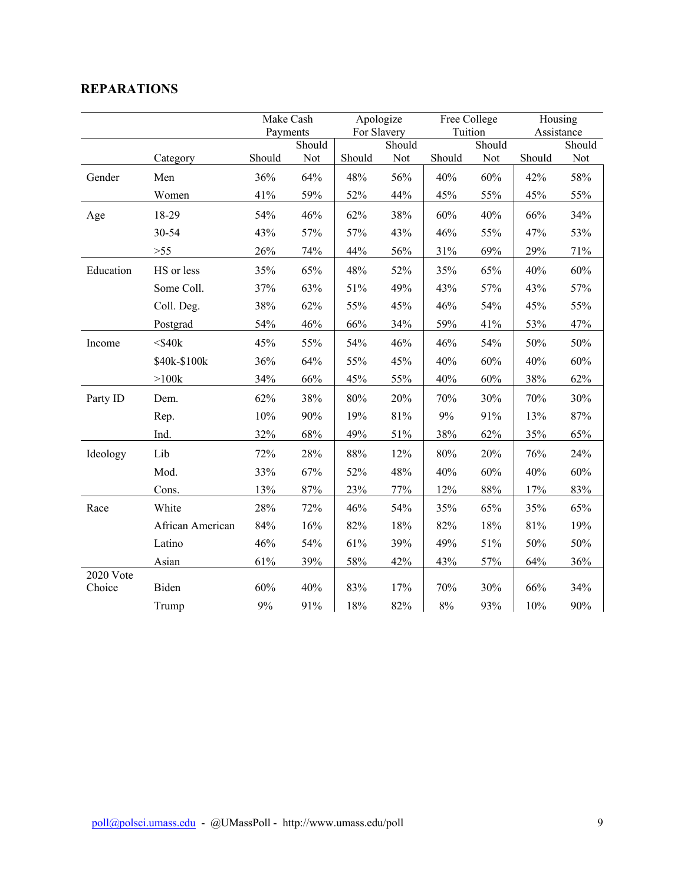### **REPARATIONS**

|                     |                  | Make Cash |        | Apologize   |        | Free College |        | Housing |                      |
|---------------------|------------------|-----------|--------|-------------|--------|--------------|--------|---------|----------------------|
|                     |                  | Payments  | Should | For Slavery | Should | Tuition      | Should |         | Assistance<br>Should |
|                     | Category         | Should    | Not    | Should      | Not    | Should       | Not    | Should  | Not                  |
| Gender              | Men              | 36%       | 64%    | 48%         | 56%    | 40%          | 60%    | 42%     | 58%                  |
|                     | Women            | 41%       | 59%    | 52%         | 44%    | 45%          | 55%    | 45%     | 55%                  |
| Age                 | 18-29            | 54%       | 46%    | 62%         | 38%    | 60%          | 40%    | 66%     | 34%                  |
|                     | 30-54            | 43%       | 57%    | 57%         | 43%    | 46%          | 55%    | 47%     | 53%                  |
|                     | $>55$            | 26%       | 74%    | 44%         | 56%    | 31%          | 69%    | 29%     | 71%                  |
| Education           | HS or less       | 35%       | 65%    | 48%         | 52%    | 35%          | 65%    | 40%     | 60%                  |
|                     | Some Coll.       | 37%       | 63%    | 51%         | 49%    | 43%          | 57%    | 43%     | 57%                  |
|                     | Coll. Deg.       | 38%       | 62%    | 55%         | 45%    | 46%          | 54%    | 45%     | 55%                  |
|                     | Postgrad         | 54%       | 46%    | 66%         | 34%    | 59%          | 41%    | 53%     | 47%                  |
| Income              | $<$ \$40 $k$     | 45%       | 55%    | 54%         | 46%    | 46%          | 54%    | 50%     | 50%                  |
|                     | \$40k-\$100k     | 36%       | 64%    | 55%         | 45%    | 40%          | 60%    | 40%     | 60%                  |
|                     | >100k            | 34%       | 66%    | 45%         | 55%    | 40%          | 60%    | 38%     | 62%                  |
| Party ID            | Dem.             | 62%       | 38%    | 80%         | 20%    | 70%          | 30%    | 70%     | 30%                  |
|                     | Rep.             | 10%       | 90%    | 19%         | 81%    | $9\%$        | 91%    | 13%     | 87%                  |
|                     | Ind.             | 32%       | 68%    | 49%         | 51%    | 38%          | 62%    | 35%     | 65%                  |
| Ideology            | Lib              | 72%       | 28%    | $88\%$      | 12%    | 80%          | 20%    | 76%     | 24%                  |
|                     | Mod.             | 33%       | 67%    | 52%         | 48%    | 40%          | 60%    | 40%     | 60%                  |
|                     | Cons.            | 13%       | 87%    | 23%         | 77%    | 12%          | 88%    | 17%     | 83%                  |
| Race                | White            | 28%       | 72%    | 46%         | 54%    | 35%          | 65%    | 35%     | 65%                  |
|                     | African American | 84%       | 16%    | 82%         | 18%    | 82%          | 18%    | 81%     | 19%                  |
|                     | Latino           | 46%       | 54%    | 61%         | 39%    | 49%          | 51%    | 50%     | 50%                  |
|                     | Asian            | 61%       | 39%    | 58%         | 42%    | 43%          | 57%    | 64%     | 36%                  |
| 2020 Vote<br>Choice | Biden            | 60%       | 40%    | 83%         | 17%    | 70%          | 30%    | 66%     | 34%                  |
|                     | Trump            | 9%        | 91%    | 18%         | 82%    | $8\%$        | 93%    | 10%     | 90%                  |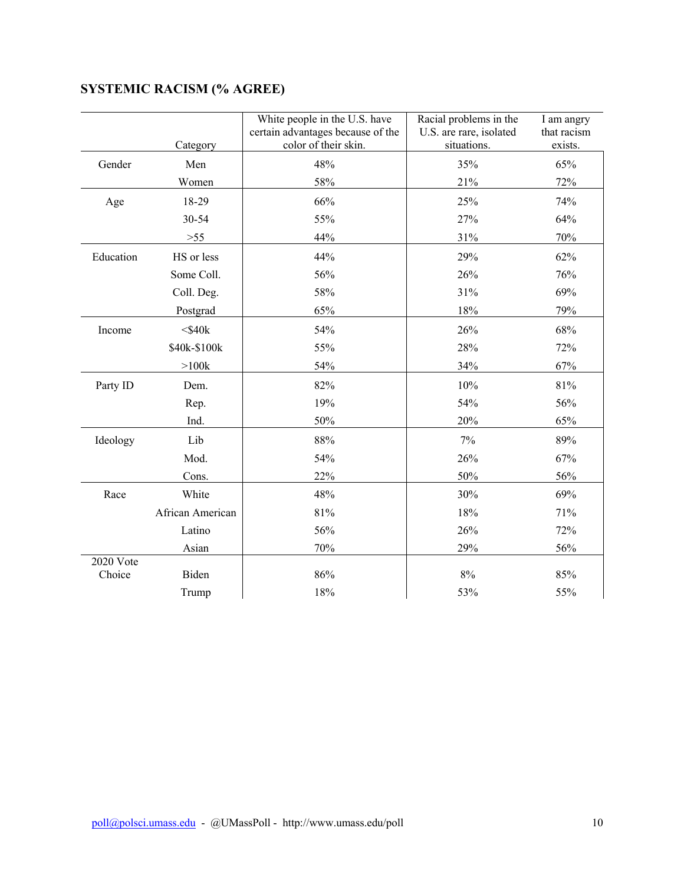|           | Category         | White people in the U.S. have<br>certain advantages because of the<br>color of their skin. | Racial problems in the<br>U.S. are rare, isolated<br>situations. | I am angry<br>that racism<br>exists. |
|-----------|------------------|--------------------------------------------------------------------------------------------|------------------------------------------------------------------|--------------------------------------|
| Gender    | Men              | 48%                                                                                        | 35%                                                              | 65%                                  |
|           | Women            | 58%                                                                                        | 21%                                                              | 72%                                  |
|           | 18-29            | 66%                                                                                        | 25%                                                              | 74%                                  |
| Age       | 30-54            | 55%                                                                                        | 27%                                                              | 64%                                  |
|           |                  |                                                                                            |                                                                  |                                      |
|           | $>55$            | 44%                                                                                        | 31%                                                              | 70%                                  |
| Education | HS or less       | 44%                                                                                        | 29%                                                              | 62%                                  |
|           | Some Coll.       | 56%                                                                                        | 26%                                                              | 76%                                  |
|           | Coll. Deg.       | 58%                                                                                        | 31%                                                              | 69%                                  |
|           | Postgrad         | 65%                                                                                        | 18%                                                              | 79%                                  |
| Income    | $<$ \$40 $k$     | 54%                                                                                        | 26%                                                              | 68%                                  |
|           | \$40k-\$100k     | 55%                                                                                        | 28%                                                              | 72%                                  |
|           | $>100k$          | 54%                                                                                        | 34%                                                              | 67%                                  |
| Party ID  | Dem.             | 82%                                                                                        | 10%                                                              | 81%                                  |
|           | Rep.             | 19%                                                                                        | 54%                                                              | 56%                                  |
|           | Ind.             | 50%                                                                                        | 20%                                                              | 65%                                  |
| Ideology  | Lib              | 88%                                                                                        | 7%                                                               | 89%                                  |
|           | Mod.             | 54%                                                                                        | 26%                                                              | 67%                                  |
|           | Cons.            | 22%                                                                                        | 50%                                                              | 56%                                  |
| Race      | White            | 48%                                                                                        | 30%                                                              | 69%                                  |
|           | African American | 81%                                                                                        | 18%                                                              | 71%                                  |
|           | Latino           | 56%                                                                                        | 26%                                                              | 72%                                  |
|           | Asian            | 70%                                                                                        | 29%                                                              | 56%                                  |
| 2020 Vote |                  |                                                                                            |                                                                  |                                      |
| Choice    | Biden            | 86%                                                                                        | $8\%$                                                            | 85%                                  |
|           | Trump            | 18%                                                                                        | 53%                                                              | 55%                                  |

# **SYSTEMIC RACISM (% AGREE)**